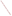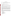#### **OVERVIEW SECTION**

#### **AGENCY:** ENVIRONMENTAL PROTECTION AGENCY (EPA).

#### **TITLE: "**TRIBAL TRAINING SUPPORT FOR THE AMERICAN INDIAN AIR QUALITY TRAINING PROGRAM AND TRIBAL AIR MONITORING SUPPORT CENTER"

**ACTION:** Request for Applications (RFA) - Initial Announcement.

**RFA NO:** OAR-IO-05-01

#### **CATALOG OF FEDERAL DOMESTIC ASSISTANCE (CFDA) NO:** 66.607

**DATES:** The closing date and time for receipt of Applications is April 22, 2005, 4:00 EST. All applications, however transmitted, must be received in the Program Office by the closing date and time to receive consideration.

To allow for efficient management of the competitive process, EPA requests eligible organizations submit an informal notice of "Intent to Apply" by April 8, 2005. Submission of an Intent to Apply is optional; it is a process management tool that will allow EPA to better anticipate the total staff time required for efficient review, evaluation, and selection of submitted proposals.

**SUMMARY:** This notice announces the availability of funds and solicits proposals from eligible entities to provide tribal training support for the "American Indian Air Quality Training Program" and the "Tribal Air Monitoring Support Center." The "American Indian Air Quality Training Program" provides workshop training, internships and technical support to tribal governments seeking to investigate, develop and establish air quality management programs for lands under their jurisdiction. The Tribal Air Monitoring Support Center is a partnership effort between the grant recipient and EPA's Office of Air and Radiation, hosted by the Radiation and Indoor Environments National (R&IEL) laboratory in Las Vegas, to provide a full spectrum of technical support to tribes undertaking air quality monitoring and related activities.

**FUNDING/AWARDS:** The total estimated funding for this competitive opportunity shall not exceed \$7.5 million. In FY 2005, total funding shall not exceed \$1.5 million. EPA anticipates award of one cooperative agreement, whose annual value shall not exceed \$1.5 million, resulting from this competitive opportunity. The cooperative agreement will be funded incrementally. Additional funds may be added in each subsequent year of the agreement, subject to satisfactory performance and the availability of funds.

#### **CONTENTS BY SECTION**

- I. Funding Opportunity Description
- II. Award Information
- III. Eligibility Information
- IV. Application and Submission Information
- V. Application Review Information
- VI. Award Administration Information
- VII. Agency Contact
- VIII. Other Information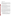#### **I. Funding Opportunity Description**

### **A. Background.**

Of the 570 federally-recognized tribes nationwide, 120 currently receive funding support from EPA to investigate their air quality and make informed decisions about how to best restore, protect and preserve air resources for lands within their jurisdiction. While roughly 40 tribal governments have completed air quality assessments and determined they had no further needs, many more do require support to conduct air quality related activities. The purpose of this project is to provide a continuous air quality training and technical support program for EPA's tribal partner governments.

1. Tribal Air Monitoring Support Center (TAMS).

EPA's Radiation and Indoor Environments Laboratory (R&IE) is one of two national EPA laboratories within the Office of Radiation and Indoor Air. The Center for Indoor Environments (CIE), located within the laboratory, provides unique scientific and technical support services in indoor air, ambient air and radon and also home of the labs' Tribal Air Monitoring Support Center.

The TAMS Center is a model partnership among tribes and EPA. Its' mission is to "develop tribal capacity to assess, understand and prevent environmental impacts that adversely affect health, cultural and natural resources." It is the first technical learning center designed to specifically meet the needs of tribes involved in air quality management in Indian country. The TAMS Center provides a centralized location where tribal environmental professionals can both obtain air monitoring training, and arrange for technical support from tribal and environmental professionals and EPA.

2. American Indian Air Quality Training Program (AIAQTP).

The AIAQTP began in 1993 as a way to provide tribal governments interested in air quality with training and support that would facilitate their interaction with EPA and air quality programs. The mission of AIAQTP is to assist in the building of tribal capacity for air quality management, ensure that courses are culturally sensitive and provide high-quality, up to date training. The Office of Air and Radiation has supported this activity since its inception, and tribes have made meaningful gains and progress as a result.

Beginning with three workshops in 1993, the AIAQTP has offered more than 20 individual workshops in each of the last few years. The scheduling and content of the workshops are based on a combination of air quality expertise and experience coupled with feedback from participants and instructors, and close interactions with tribal governments nationwide as well as with EPA, to ensure courses are developed and offered to meet current and ongoing needs of tribal governments. In addition to the workshop courses, the AIAQTP provides a Tribal Environmental Resource Center and Professional Assistance segments to ensure training activities are fully supported.

## **B. EPA Strategic Plan Linkage and Anticipated Outcomes/Outputs.**

1. *Linkage to EPA Strategic Plan.* This project supports progress towards EPA Strategic Plan Goal 1(Clean Air and Global Climate Change),Objective 1.1 (Healthier Outdoor Air), Sub-Objectives 1.1.1 (More People Breathing Clean Air) and 1.1.2 (Reduced Risk from Toxic Air Pollutants), Objective 1.2 (Healthier Indoor Air) and, Objective 1.4 (Radiation), Sub-Objectives 1.4.1 (Enhance Radiation Protection) and 1.4.2 (Maintain Emergency Response Readiness). This project supports EPA efforts to encourage and facilitate involvement of tribal partner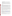governments in implementing the Clean Air Act in Indian country, through the provision of training and technical support.

- 2. *Outcomes.* Through this project EPA hopes to stimulate and encourage interest in the development of tribal air programs that assess air quality and address air quality concerns in Indian country.
- 3. *Outputs.* The anticipated output for this project is technical support and training for a minimum of 300 tribal environmental professionals per year, over the life of the agreement. Additional output may be manifest through an increase in tribal activities carrying out air quality assessments in Indian country and implementing air quality programs to address identified air quality concerns.

#### **C. Project Overview.**

Through this project, EPA's R&IE National Laboratory, Las Vegas, will continue to work in partnership with the recipient to provide training, outreach and technical support to tribes. The training and support will aid in building the capacity of tribes to successfully implement efficient and effective air quality management programs. Among the programs included are: indoor air quality; ambient air monitoring; air toxics; radiological monitoring, and contamination abatement and remediation

The AIAQTP element will offer more broadly-focused workshop training, outreach and technical support to assist tribes in building their capacity to successfully develop and implement air quality management progrmas, particularly in the areas of outdoor air, ambient air quality, indoor air, program development and administration. Additional workshops may be provided as appropriate, to ensure tribes have access to appropriate scientific and technical training to support their assessment and program development activities.

Although the workshops will primarily target audiences of tribal air program representatives, other tribal professionals involved in air quality, such as public health professionals may be included. Courses will incorporate team based interactive classroom exercises, presentations by experienced tribal and non-tribal air quality professionals, in-the-field hands on exercises, classroom discussion and participation, question and answer discussions. Courses should be structured to maximize the use of available time and promote interaction and networking, in addition to the basic learning experience.

#### **D. Scope of Work.**

EPA's Office of Air and Radiation is seeking applications from eligible entities to provide training and technical support to the tribes. The training will build the capacity of interested tribes to successfully implement effective and efficient air quality programs that address: (1) tribal sovereign authority; (2) authority under §301(d) of the Clean Air Act and the [Tribal Authority Rule \(](http://www.epa.gov/fedrgstr/EPA-AIR/1998/February/Day-12/a3451.htm)40 CFR Parts 9, 35, 49, 50 and 81, visit EPA website at: http://www.epa.gov/fedrgstr/EPA-AIR/1998/February/Day-12/a3451.htm); and (3) recognition of EPA policies, rules and executive orders as well as the unique aspects of tribal sovereignty and federal Indian law.

The anticipated activities associated with providing the training and technical support services envisioned under this project have been divided into five major tasks. The tasks and activities EPA is particularly interested in having addressed in the proposal are as follows:

The following workshop courses may be offered in a typical year. All workshops should be continuously reviewed for quality and appropriateness, and updated to reflect current conditions prior to each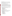presentation. Tribal, EPA and grantee instructors should work together to provide the appropriate learning experience for attendees.

Approximately 20 to 25 workshops will be offered each year. Course topics may change annually depending upon tribal needs and material progression. All training should reflect a community-based approach, be specific to tribal issues and sensitive to tribal culture while providing accurate technical information on how tribes can address each area.

### **Task 1: American Indian Air Quality Training Program Workshops.**

AIAQTP staff is entirely supported through the grant and EPA participation is voluntary in support of all activities. The recipient will provide adequate staffing to support all necessary tasks including administrative, management, workshop and technical support functions.

The recipient must consider the current needs of tribes in each year when deciding, in consultation with the EPA Project Officer, actual training needs. Following are synopses of courses offered by AIAQTP in FY 2004. Although the recipient will develop specific training, it may also use the following descriptions as a guide for future workshop development; modify course content, or offer course content as described below.

- 1. *Quality Assurance Project Plan (QAPP)***.** To ensure the success of environmental programs and data validity, this course provides the participant with the materials, resources and knowledge necessary to develop a new QAPP or refine existing QAPP's for use in support of monitoring activities. Topics include:
	- a. Project administration, organization, background and description
	- b. Project quality objectives
	- c. Documentation and record-keeping
	- d. Sampling design and methods requirements
	- e. Laboratory analysis requirements
	- f. Quality control requirements
	- g. Instrumentation calibration
	- h. Data review, validation and verification requirements
	- i. A draft QAPP should be prepared by each attendee
- 2. *Meteorological Monitoring***.** This training provides tribal environmental professionals with the training, knowledge and resources necessary to erect a meteorological monitoring station that fits their exact needs. Topics include:
	- a. Basic meteorological concepts and primary meteorological variables
	- b. Siting a meteorological station and exposure of meteorological instrumentation
	- c. Meteorological data recording
	- d. System performance
	- e. Meteorological data processing
	- f. Data recording and archiving
	- g. Quality Assurance and Quality Control
		- i. Instrumentation Procurement
		- ii. Installation and acceptance testing
		- iii. Routine calibrations
		- iv. Routine and preventative maintenance
		- v. Data validation and reporting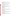- h. Uses of meteorological data
- 3. *Tribal Indoor Air Training***.** This course provides participants with the practical knowledge and ability to identify common indoor air pollutants or sources found within homes. Topics include:
	- a. Assessment of sources (pollutants, moisture, radon)
	- b. Health effects of sources
	- c. Measurement of indoor air, including training on current instrumentation and proper documentation
	- d. Remediation (contractor selection, if necessary) including cost effectiveness
- 4. *Air Toxics***.** Discussions should ensure that participants have a basic understanding of air toxics and its impacts upon a tribal community through assessment and measurement. Topics include:
	- a. Overview of air toxics sources, emissions inventories and exposures
	- b. Health and environmental effects
	- c. Risk assessment
	- d. Federal regulations related to air toxics
	- e. Tools for identification of [potential] impacts on a tribal community
- 5. *Air Quality Subsystem (AQS)***.** This course equips participants with a working understanding of the data elements and requirements of the AQS database. Participants should be able to perform basic submissions and data analysis using the AQS subsystem upon completion. Topics include:
	- a. System overview and registration
	- b. Data management and formatting
	- c. Hardware and software needs
	- d. Passwords and access protocols
	- e. Types of data
	- f. Pre-formatted reports
- 6. *Radiological Training***.** Tribes need appropriate understanding of radiological issues from monitoring, exposure, health and national security perspectives. Some tribes are adversely affected through the use of contaminated soil (often a result of mining activities) in building construction. To correctly address these issues, topics include:
	- a. Response and exposure
	- b. Assessment and measurement
	- c. Education and outreach to the community
	- d. Contaminant abatement and remediation
- 7. *Gaseous Pollutant Monitoring***.** This workshop provides attendees with a basic understanding of when gaseous monitoring is appropriate, and how to make decisions on monitor selection, siting, operation, and analysis. Topics include:
	- a. Overview and discussion of gaseous pollutant monitoring including nitrates, sulfates and ozone
	- b. Instrument design and operation
	- c. Assessing air quality
	- d. Relevance and bearing on attainment/non-attainment designations
- 8. *Introduction to Tribal Air Quality***.** An entry level course that introduces the concepts of clean air and its relationship to health and welfare. This course presents management options for tribes in a culturally sensitive manner. Topics include:
	- a. Basic scientific concepts in clean air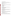- b. The Clean Air Act and it's amendments
- c. Monitoring and emission inventories
- d. Introduction to the elements of a basic tribal air quality management program
- 9. *Air Quality Computations***.** This course helps tribal representatives understand the basic concepts of mathematical skills needed to execute the scientific calculations and methods necessary to assess and address air quality issues. Topics include:
	- a. Arithmetic and mathematical concepts and methods
	- b. Statistics
	- c. Spreadsheets
	- d. Problem solving and analysis
- 10. *Air Pollution Technology***.** Designed as a medium level workshop to introduce advanced concepts of air pollution sources and control, the science of air pollution, and air quality management techniques, in a culturally sensitive manner. Topics include:
	- a. Air pollution meteorology
	- b. Air quality monitoring
	- c. Air quality modeling
	- d. Data management
	- e. Air pollution control
- 11. *Management of Tribal Programs***.** An entry level workshop designed to provide the basic management and administration techniques necessary to successfully implement and operate a tribal air quality management program. Topics include:
	- a. Clean Air Act and authority for Tribal programs
	- b. Grants administration and management
	- c. Starting a tribal air program
	- d. EPA policies and interaction
- 12. *Educational Outreach Program Design***.** A mid-level workshop identifying key elements of a tribal outreach and education program that is designed to reach tribal community members and non-tribal reservation populations with general and formal educational materials. Topics include:
	- a. Communication fundamentals
	- b. Working with groups in the community
	- c. Presentation skills
	- d. Environmental education guidelines
- 13. *The Clean Air Act and Permitting***.** An advanced level workshop providing detailed information on the workings of the Clean Air Act and its major elements for tribes planning to undertake regulatory air quality programs. Topics should be presented in a culturally sensitive manner and include:
	- a. CAA background
	- b. National Ambient Air Quality Standards
	- c. New Source Review and Prevention of Significant Deterioration
	- d. Title V program fundamentals
	- e. Tribal sovereignty and the Federal trust responsibility

Applicants must describe, in detail, their plan for implementing Task 1 including all information considered relevant to demonstrating experience and capability to plan and schedule workshops, recruit attendees and instructors, provide expert instructors, develop course content that is culturally sensitive for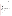Native Americans, prepare workshop materials and support, acquire training locations, and successfully implement a full menu of 20-25 annual training workshops. Applicants should anticipate providing support for travel costs of most attendees because of the variations in tribal air programs development levels. EPA is particularly interested in proposals that discuss a methodology to encourage tribes that are able to share in the cost of attending workshops.

### **Task 2: Tribal Air Monitoring Support Center (TAMS).**

The TAMS Center provides specialized and individualized tribal training, technical assistance, outreach and support activities in response to tribal needs and requests. All TAMS Center activities are conducted through the TAMS center and coordinated between EPA and recipient staff.

The TAMS Center is managed by co-directors, one each representing the recipient and EPA. Recipient staffing consist of a co-director, an administrative assistant, a secretary, and two technical specialists. EPA staff currently consists of a co-director, two technical specialists and a senior communications specialist. Major activities include:

- 1. *Specialized and Individualized Training*
	- a. Provide training courses and workshops to tribal environmental professionals (not exclusive of those listed in Task 1).
	- b. Provide individualized training and technical support as requested. Includes on-site visits.
	- c. Offer and coordinate specialized training courses in response to current needs.
	- d. Training should be provided by tribal instructors, supplemented by professional staff where appropriate.
	- e. Coordinate on-site assistance by contracted experts.
	- f. Coordinate the professional summer internship for college students described in Task 4, as well as the mentoring/internships for tribal environmental professionals described in Task 3(3).
	- g. Provide and coordinate particulate matter filter weighing activities between tribes and EPA at the Las Vegas R&IEL Laborator in Las Vegas. The gravimetric laboratory is funded and operated by EPA.

## 2. *Outreach*

- a. Receive and respond to requests for information through e-mail, phone calls, fax and personal contacts.
- b. Maintain and update TAMS Center Clearinghouse resources.
- c. Maintain and operate the Air Pollution Distance Learning Network downlink site at the TAMS Center.
- d. Work in close cooperation with all partners to enhance the relationship between tribes and EPA.

## 3. *Support*

- a. Host up to two national tribal forum meetings (described in Professional Assistance section).
- b. Convene two to four TAMS Steering Committee meetings annually.
- c. Support AIAQTP training courses as needed.
- d. Development of database and maintenance.
- e. Development and maintenance of TAMS website.
- f. Support tribal requests as appropriate and allowable.
- 4. *Support for Participant Training Attendance.* The TAMS Center is home to a state-of-the-art training facility that is to be utilized for tribal training and meeting purposes. There will be instances where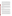training may be offered in other locations as well, depending on demand. Regardless of location, financial support will be provided to participants attending tribal training and/or workshops. Financial support may only be provided for training directly related to tribal training areas mentioned in either this RFA, or the final approved workplan. The recipient must provide a methodology for determining how decisions will be made for providing financial support to tribal representatives. Approval will be subject to review and agreement between the recipient and the EPA project officer.

5. *Annual Needs Assessment on Tribal Lands*. This project seeks to expands upon initial training, incorporating comments developed from an analysis of post-training evaluations offered by past participants, and deliver the courses. In order to continue to provide tribes with the most current and relevant information, it will be necessary to incorporate specific needs assessments into training workshops. This will require the recipient to perform needs assessments, on an ongoing basis, in order to determine how the program should be adjusted on an ongoing basis. Findings will be incorporated into course material thereafter. EPA will not provide specific guidelines by which to conduct these assessments. Applicants will be evaluated, in part, on the effectiveness of their proposed assessment plan.

Applicant must describe how they will undertake and accomplish each of the five activities listed above. The proposal should include descriptions of how TAMS workshops will be developed and conducted, and address: course content; expert and tribal instructors; equipment; interactions with tribes and EPA's R&IE National Laboratory TAMS staff; responding to requests and providing technical support information and materials; maintaining and operating resource infrastructure as described in the "Outreach" activity (Item 2(b) and (c)); methodology for providing financial support to tribal trainers and trainees; locating TAMS workshops; and, process for continually developing needs assessments based on workshop experience.

#### **Task 3: Professional Assistance.**

The Professional Assistance program encompasses a number of tasks related to supporting and broadening the workshop training program with practical activities that expand the knowledge provided by training into actual implementation assistance needed to properly support tribal activities once they have completed a workshop. The activities, described below, must be conducted with the appropriate level of cultural sensitivity and tribal involvement, to facilitate the positive working environment tribes have come to expect.

- 1. *Website*. The recipient will develop and maintain a program website in support of all training and technical activities. The website must provide an access point to information, contacts, staff and other resources offered as part of the training program. On-line registration should be considered as an option, as part of this activity. Proposal must describe how the site will be maintained and updated, and the existing expertise available to carry out the task of ensuring the material accurately reflects the programs' content, and serves as an effective two-way communication tool.
- 2. *Information and Technical Assistance*. Information and Technical Assistance must be available on a one-to-one basis for any tribe that contacts the Professional Assistance program. Tribes should be able to call during business hours and have requests responded to within a reasonable amount of time. Information and technical assistance will be available on all aspects of air program activities, and may rely on outside sources for assistance, however, most expertise should be available in-house. Proposal must describe how this activity will be structured to encourage and facilitate inquiries, and respond to requests for information and materials in a timely, supportive and personalized manner.

.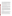- 3. *Mentoring/Internships*. Mentoring/Internship is an essential part of the support program. A system will be in place to ensure that tribes and others (including states and EPA) with expertise in certain areas are connected through the training program to tribes seeking individualized one-on-one training in those same areas. The training program should catalog these areas of expertise so that matches can be made quickly to incoming requests. Financial support must be available through the recipient to support these activities for tribes that are unable to provide their own funding. Proposals must describe how this activity will be structured, funded and staffed to ensure that tribal requests are expeditiously matched to tribal capabilities, including where these activities will occur, and what kind of institutional and professional support is available.
- 4. *Reference Documents Library*. A library of tribal documents must be developed and maintained so that tribes can access completed work as a guide when their own activities duplicate completed activities of other tribes. Information should be identified through the training web site and available to every tribe upon request. Proposals must describe how materials will be acquired, inventoried, advertised and made available in response to tribal requests.
- 5. *Newsletter*. The Professional Assistance program must publish a regular periodical of Tribal Air News for national distribution. The periodical should contain articles of interest to tribal programs authored by program as well as tribal and EPA staff to ensure a diversity of topics and perspectives. Proposal must describe the staffing, frequency, style and manner of distribution proposed to provide a regular periodical for tribal air programs. Include any information possible on how articles will be developed and prepared, general editorial direction or foreseen content.
- 6. *National Meetings*. Recognizing the importance of communications and networking, the program should organize and promote one or more annual national meetings for tribes to meet and discuss current and future issues. Limited financial support should be available to tribes unable to fund travel. Issues should be based on the recipients' expertise, tribal feedback and current national program initiatives. Attendance from all parts of Indian country is preferred and support from EPA and national tribal organizations is essential. Proposals must describe how national meetings will be developed, planned, scheduled and implemented in a manner that encourages interest and attendance amongst tribal air programs, in coordination with public and private tribal air program interests. Discuss how funding support would be structured for tribes unable to fund travel, how locations would be determined and, proposals for ensuring topics are current and of interest to the broadest audience.

#### **Task 4: Internship Programs**

An important support element for training tribes will be the availability of internship programs to enhance and solidify the learning experience, and to offer a perspective of broader opportunities in environmental careers. One internship program should offer the opportunity for tribal college students to work in an environmental/air quality office and gain additional experience and insight into career opportunities. Financial assistance should be available to all interns to support this activity. A second internship/mentoring program should also ensure the availability of individual opportunities for tribal environmental professionals to access more experienced air quality programs as described in Task 3(3).

Proposal must describe how the internship programs would be structured and funded to give tribal environmental professionals and/or American Indian college students access to internships that will enhance their professional development and/or experience and help them acquire skills and experiences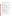necessary to promote successful tribal air quality and environmental programs.

### **D. Supplementary Information.**

The statutory authority for this action is Clean Air Act, Section  $103(a)(5)$  which authorizes the Administrator to establish programs that conduct and promote coordination and acceleration of training for individuals relating to the causes, effect, extent, prevention, and control of air pollution.

### **II. Award Information.**

### **A. What is the amount of funding available?**

The total estimated funding for this competitive opportunity shall not exceed \$7.5 million. EPA anticipates funding the successful application incrementally over the negotiated project performance period, subject to satisfactory performance and the availability of funds. In FY 2005, total funding shall not exceed \$1.5 million. EPA anticipates award of one cooperative agreement, whose annual value shall not exceed \$1.5 million, resulting from this competitive opportunity.

## **B. How many agreements will EPA award in this competition?**

EPA anticipates award of one cooperative agreement whose annual value shall not exceed \$1.5 million resulting from this competitive opportunity; subject to availability of funds.

Cooperative agreements permit substantial involvement between the EPA Project Officer and the selected applicants in the performance of the work supported. Although EPA will negotiate precise terms and conditions relating to substantial involvement as part of the award process, the anticipated substantial Federal involvement for this project will be:

- 1. EPA will closely monitor the successful applicant's performance to verify the results proposed by the applicant;
- 2. EPA will work in collaboration with the recipient during performance of the work;
- 3. EPA will approve substantive terms of proposed contracts;
- 4. EPA will approve qualifications of key personnel (EPA will not select employees or contractors employed by the award recipient);
- 5. EPA will review and comment on reports prepared under the cooperative agreement (the final decision on the content of reports rests with the recipient);
- 6. EPA will participate in the menu of annual workshops and their locations;
- 7. EPA will attend and participate in conduct of workshops;
- 8. EPA will serve as an Ex-Officio member of TAMS Steering Committee;

## **C. What is the project period for awards resulting from this solicitation?**

The estimated project period for awards resulting from this solicitation is July 1, 2005 through March 31, 2010. All projects must be completed within the negotiated project performance period of one to five years.

## **D. Can funding be used to acquire services or fund partnerships?**

Funding may be used to acquire services or fund partnerships, provided the recipient follows procurement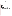and subaward or subgrant procedures contained in 4[0 CFR P](http://www.gpoaccess.gov/cfr/retrieve.html)arts 30 or 31, as applicable. Successful applicants must compete contracts for services and products and conduct cost and price analyses to the extent required by these regulations. The regulations also contain limitations on consultant compensation. Applicants are not required to identify contractors or consultants in their proposal. Moreover, the fact that a successful applicant has named a specific contractor or consultant in the proposal EPA approves does not relieve it of its obligations to comply with competitive procurement requirements.

Subgrants or subawards may be used to fund partnerships with non profit organizations and governmental entities. Successful applicants cannot use subgrants or subawards to avoid requirements in EPA grant regulations for competitive procurement by using these instruments to acquire commercial services or products to carry out its cooperative agreement. For profit organizations are not eligible subgrant recipients under this announcement. The nature of the transaction between the recipient and the subgrantee must be consistent with the standards for distinguishing between vendor transactions and subrecipient assistance under Subpart B Section .210 of [OMB Circular A-133,](http://www.whitehouse.gov/omb/circulars/a133/a133.html) and the definitions of "subaward" at 40 CFR 30.2(ff) or "subgrant" at 40 CFR 31.3, as applicable. EPA will not be a party to these transactions.

## **III. Eligibility Information**

### **A. Eligible Entities.**

Proposals will be accepted from States, territories, Indian Tribes, and possessions of the U.S., including the District of Columbia, public and private universities and colleges, hospitals, laboratories, other public or private nonprofit institutions, as defined b[y OMB Circular A-110](http://www.whitehouse.gov/omb/circulars/a110/a110.html) an[d OMB Circular A-122.](http://www.whitehouse.gov/omb/circulars/a122/a122.html)

Non-profit organization, as defined by OMB Circular A-122, means any corporation, trust, association, cooperative, or other organization which: (1) is operated primarily for scientific, educational, service, charitable, or similar purposes in the public interest; (2) is not organized primarily for profit; and (3) uses its net proceeds to maintain, improve, and/or expand its operations. For this purpose, the term "non-profit organization" excludes (i) colleges and universities; (ii) hospitals; (iii) state, local, and federally-recognized Indian tribal governments; and (iv) those non-profit organizations which are excluded from coverage of this Circular in accordance with paragraph 5 of the Circular.

Non-profit organizations described in Section  $501(c)(4)$  of the Internal Revenue Code that engage in lobbying activities as defined in Section 3 of the Lobbying Disclosure Act of 1995 are not eligible to apply.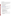### **B. Cost-Sharing or Matching.**

Although cost-sharing or matching is not required, as a condition of eligibility, or otherwise, for proposals selected for award, applicants proposing a voluntary financial or in-kind commitment of resources will improve their scoring under the "Resources" evaluation criterion of this solicitation. *(Refer to Section V(A), Evaluation Criteria.)*

Voluntary contributions of funds and/or in kind contributions of resources, if accepted by EPA, will be treated as cost shares under 40 CFR 30.24. Applicants must propose eligible and allowable in kind contributions of resources to qualify for an improved score under this criterion.

### **Section IV - Application and Submission Information**

## **IV. Application and Submission Information**

## **A. How to Obtain Application Package.**

Applicants may download individual grant application forms, or electronically request a paper application package and an accompanying computer CD of information related to applicants/grant recipients roles and responsibilities from EPA's Grants and Debarment website by visiting: [http://www.epa.gov/ogd/grants/how\\_to\\_apply.htm.](http://www.epa.gov/ogd/grants/how_to_apply.htm)

### **B. Content and Form of Application Submission.**

Applications must contain a narrative proposal, and one completed and signed federal grant application package. The narrative proposal must explicitly describe the applicant's proposed project and specifically address each of the evaluation criteria disclosed in *Section V(A), Evaluation Criteria*.

- 1. A complete application must contain the following, in the sequential order shown:
	- a. SF-424 Application for Federal Assistance, with original signature.
	- b. Narrative Statement, in the format detailed below.
	- c. Other supporting documentation.
	- d. SF-424 A, Budget by categories and indirect cost rate.
	- e. SF-424 B, Assurances for non-construction programs.
	- f. Certification Regarding Lobbying and SF LLL, if applicable.
	- g. EPA Form 4700-4 Preaward Compliance review report.
	- h. Quality Assurance Narrative Statement, if applicable.
	- i. Copy of Negotiated Indirect Cost Rate Agreement, if applicable.
	- j. Biographical Sketch.
	- k. E-mail address or self-addressed envelope (to receive notification of receipt of application).
- 2. The narrative proposal should conform to the following outline:
	- a. Cover Letter: Describe your organization's qualifications for the project; must be signed by an official with the authority to commit your organization to the project; and written on your organization's official letterhead.
	- b. Summary Information Page.
		- 1. Project Title.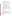- 2. Applicant Information. Include applicant (organization) name, address, contact person, phone number, fax and e-mail address.
- 3. Funding Requested. Specify the amount you are requesting from EPA.
- c. Project Description. The project description must provide a concise overview of how the applicant will implement and conduct its operation and include a Project Work Plan (including a description of all tasks, dates of completion, products and deliverables, and proposed budget).

The narrative workplan must discuss how the proposal addresses each of the selection criteria in Section V and include:

- 1. A description of the applicant's experience, recognition in Indian country and capability to provide training to Tribal environmental program staff;
- 2. Evidence experience working with Native Americans in a culturally sensitive manner;
- 3. Description of relationships that will facilitate accomplishment of Tasks, including supporting meaningful involvement of tribal instructors;
- 4. A location with reasonable access to Indian country;
- 5. Evidence of access to impartial and tribally sensitive environmental professional such as academic faculty and staff;
- 6. Description of significant air quality and Clean Air Act experience;
- 7. Evidence of a clear understanding of the Tribal Authority Rule and it's implications for Indian country and relationships with EPA;
- 8. Evidence of in-depth understanding of Indian country, including it's culture, history, politics, health, spirituality, environmental challenges and conditions on reservations nationwide;
- 9. Evidence of a clear understanding of EPA's Indian Policy of 1984, the doctrines of Trust Responsibility and Fiduciary Responsibility, federal Indian law, and the government-to-government relationship between tribes and the federal government.
- d. Detailed Itemized Budget. The proposal must include a detailed budget which clearly explains how funds will be used for the following categories:
	- 1. Personnel
	- 2. Fringe Benefits
	- 3. Contractual Costs
	- 4. Travel
	- 5. Equipment
	- 6. Supplies
	- 7. Other (including intern stipends)
	- 8. Total Indirect Costs (must include documentation of accepted indirect rate)
	- 9. Total Cost

If not self-evident, entries under each category must be explained in the budget itself or in the project description. Costs proposed in the budget should be linked directly to the proposal.

e. Key Personnel. The applicant should submit an appendix with the resumes of up to three (3) key personnel who will be significantly involved in the project.

Applicants are strongly advised to avoid submission of non-essential materials unrelated to the proposal's requirements. Upon receipt, applications will be reviewed for content. Applications which do not conform to the specific outline and content detailed above may not be considered for award. **Incomplete applications will not be considered for award.** All application materials must be completed in English. **C. Submission Dates and Times.**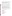1. To allow for efficient management of the competitive process, EPA requests eligible entities submit an informal notice of "Intent to Apply" by April 8, 2005, to the agency contact identified under *Section VII, Agency Contact.* Submission of an Intent to Apply is optional; it is a process management tool that will allow EPA to better anticipate the total staff time required for efficient review, evaluation, and selection of submitted proposals. Eligible entities not submitting an "Intent to Apply" are still eligible to apply by the closing date and time.

The written notice of "Intent to Apply" may be submitted via electronic mail. Please provide the name of your organization, a point of contact, phone number, email address, and the title of your project.

- 2. The closing date and time for submission of completed application packages is April 22, 2005, 4:00 p.m. EST. All applications, however transmitted, must be received in the Program Office by the closing date to receive consideration. Applications received after the closing date will not be considered for funding.
- 3. Electronic Proposals (the narrative proposal and SF 424) must be submitted in Microsoft Word, WordPerfect, or pdf format to: harmon.darrel@epa.gov. Proposals will be considered timely upon receipt, not transmission. An e-mail response confirming receipt of electronic proposals will be provided. Proposals received after the deadline will not be considered for funding.
- 4. **Confidential Business Information.** In accordance with 40 CFR 2.203, applicants may claim all or a portion of their application/proposal as confidential business information. EPA will evaluate confidentiality claims in accordance with 40 CFR Part 2. Applicants must clearly mark applications/proposals or portions of applications/proposals they claim as confidential. If no claim of confidentiality is made, EPA is not required to make the inquiry to the applicant otherwise required by 40 CFR 2.204 $(c)(2)$  prior to disclosure.
- 5. Because of the unique situation involving U.S. mail screening. EPA highly recommends that applicants use an express mail option to submit their applications. The application must be addressed to:

Express Delivery Address (FedEx, UPS, DHL, etc.) U.S. EPA Headquartes Attn: Darrel Harmon OAR/IO Ariel Rios North, Room 5426G 1200 Pennsylvania Avenue, N.W., Washington, DC 20460

Regular Mail Delivery Address (U.S. Postal Service) U.S. EPA Headquarters Attn: Darrel Harmon (Mail Code 6101A) OAR/IO 1200 Pennsylvania Avenue, N.W., Washington, DC 20460

#### **V. Application Review Information**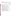## **A. Evaluation Criteria.**

Each eligible proposal, based on Section III, Eligibility Information, which meets the threshold criteria in paragraph (A) of this section, will be evaluated according to the criteria set forth below. Proposals that are best able to directly and explicitly address the evaluation criteria below will have a greater likelihood of being selected for award. Each proposal will be rated under a points system, with a total of 100 points possible.

| <b>Criterion</b>                                                                                                                                                                                                                                                                                                                                                                                                                                                                                                                                                                                                                                                                                                                                                                                                                                                                                                                                                                                                                                                                                                                                                                                                                                                                                            | <b>Maximum</b><br><b>Points Per</b><br><b>Criterion</b> |
|-------------------------------------------------------------------------------------------------------------------------------------------------------------------------------------------------------------------------------------------------------------------------------------------------------------------------------------------------------------------------------------------------------------------------------------------------------------------------------------------------------------------------------------------------------------------------------------------------------------------------------------------------------------------------------------------------------------------------------------------------------------------------------------------------------------------------------------------------------------------------------------------------------------------------------------------------------------------------------------------------------------------------------------------------------------------------------------------------------------------------------------------------------------------------------------------------------------------------------------------------------------------------------------------------------------|---------------------------------------------------------|
| Project Description. Extent to which the proposal effectively addresses each of the<br>four major tasks, sub-tasks, and proposal requirements detailed in Section I(D), Scope<br>of Work. Proposal demonstrates:<br>specific abilities to develop, implement and perform the activities described in<br>Tasks $1 - 4$ of Section 1(D).<br>significant knowledge of and experience working with the Clean Air Act and the<br>Tribal Authority Rule, EPA's 1984 Indian Policy, the doctrines of fiduciary and<br>trust responsibility, federal Indian law, the government-to-government relationship<br>between EPA and tribes, and other relevant federal acts, policies, laws and<br>executive orders.<br>knowledge and experience related to indoor environments, investigation techniques<br>$\bullet$<br>and equipment and remediation approaches and equipment.<br>expertise related to ambient air quality, meteorological systems, and air toxics,<br>including widely accepted investigation and remediation techniques, approaches,<br>equipment and technology.<br>evidence that the contractor has experience working with Native Americans in a<br>culturally sensitive manner that would support the goals and policies of EPA's<br>Indian Policy of 1984 and the federal trust responsibility. | 30                                                      |
| <b>Organizational Capability.</b> Extent to which proposal demonstrates:<br>• the applicant's ability and capacity to conduct each of the four major tasks, sub-<br>tasks, and proposal requirements detailed in Section I(D), Scope of Work.<br>efficient and effective methods of (1) curriculum development; (2) recruitment,<br>$\bullet$<br>supervision, and evaluation of interns as they carry out their training plans; (3)<br>administration-system for reporting, record keeping, processing applicants and<br>stipends.                                                                                                                                                                                                                                                                                                                                                                                                                                                                                                                                                                                                                                                                                                                                                                          | 20                                                      |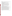| <b>Experience.</b> Extent to which the proposal demonstrates applicant's expertise and<br>experience:<br>• in managing similar training programs; and, how administration of the proposed<br>project will further the recipient's mission.<br>delivering technical training courses in both lecture and interactive formats<br>$\bullet$<br>developing meaningful relationships and acceptance by tribal members and<br>governments that may be beneficial in successfully reaching tribal audiences and<br>recruiting tribal instructors.<br>applicant's experience with tribes, tribal structure and their environmental issues.<br>significant knowledge of and experience working with the Clean Air Act and the<br>Tribal Authority Rule, EPA's 1984 Indian Policy, the doctrines of fiduciary and<br>trust responsibility, federal Indian law, the government-to-government relationship<br>between EPA and tribes, and other relevant federal acts, policies, laws and<br>executive orders.<br>in-depth understanding of Indian country, including its culture, history, politics,<br>$\bullet$<br>health, spirituality, environmental challenges and environmental conditions on<br>reservations nationwide.<br>evidence that the contractor has experience working with Native Americans in a<br>culturally sensitive manner that would support the goals and policies of EPA's<br>Indian Policy of 1984 and the federal trust responsibility. | 20 |
|---------------------------------------------------------------------------------------------------------------------------------------------------------------------------------------------------------------------------------------------------------------------------------------------------------------------------------------------------------------------------------------------------------------------------------------------------------------------------------------------------------------------------------------------------------------------------------------------------------------------------------------------------------------------------------------------------------------------------------------------------------------------------------------------------------------------------------------------------------------------------------------------------------------------------------------------------------------------------------------------------------------------------------------------------------------------------------------------------------------------------------------------------------------------------------------------------------------------------------------------------------------------------------------------------------------------------------------------------------------------------------------------------------------------------------------------------------|----|
| Performance Measurement. Applicant's proposal includes an effective method for<br>tracking the number of tribal environmental professionals trained, and their post -<br>training activities, in increasing tribal activities carrying out air quality assessments in<br>Indian country and implementing air quality programs to address air quality concerns.                                                                                                                                                                                                                                                                                                                                                                                                                                                                                                                                                                                                                                                                                                                                                                                                                                                                                                                                                                                                                                                                                          | 10 |
| <b>Location.</b> Applicant's physical location and the majority of its business operations<br>are within reasonable proximity to Indian country. Proximity is important because<br>close contact and accessibility to tribes is essential, and reasonable proximity will help<br>minimize travel expenses. Applicant's proposal demonstrates the ability to provide<br>professional and technical staff related to TAMS Center activities capable of co-<br>locating in offices at the R&IE National Laboratory in Las Vegas, and residing in the<br>Las Vegas vicinity which serves as the central location for instructor and participant<br>communications.                                                                                                                                                                                                                                                                                                                                                                                                                                                                                                                                                                                                                                                                                                                                                                                          | 5  |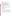| <b>Resources:</b>                                                                        | 15 |
|------------------------------------------------------------------------------------------|----|
| 1. Is the budget clearly stated, detailed, and appropriate to achieve the project's      |    |
| objectives?                                                                              |    |
| 2. Does applicant propose other sources of funding for the project (including use of in- |    |
| kind goods and services)?                                                                |    |
| 3. Have resources been committed by other project stakeholders?                          |    |
| 4. The proposal demonstrates (i) how the applicant will coordinate the use of EPA        |    |
| funding with other Federal and/or non Federal sources of funds to leverage               |    |
| additional resources to carry out the proposed project(s) and/or (ii) that EPA           |    |
| funding will compliment activities relevant to the proposed project(s) carried out by    |    |
| the applicant with other sources of funds or resources. Applicants may use their         |    |
| own funds or other resources for a voluntary match or cost share if the standards at     |    |
| 40 CFR 30.23 or 40 CFR 31.24, as applicable, are met. Only eligible and allowable        |    |
| costs may be used for matches or cost shares. Other Federal grants may not be used       |    |
| as matches or cost shares without specific statutory authority (e.g. HUD's               |    |
| <b>Community Development Block Grants</b>                                                |    |

## **C. Review and Selection Process.**

Each application will be evaluated by a team chosen to address a full range of issues associated with air quality. This Evaluation Team will base its evaluation solely on the selection criteria disclosed in this notice. *(Refer to Section V(A), Evaluation Criteria)*.

Completed evaluations, from the Evaluation Team, will be referred to a Selection Committee that is responsible for further consideration and final selection of proposals. The highest numerically-ranked proposal will be recommended for award.

#### **VI. Award Administration Information**

#### **A. Award Notices.**

Following final selections, all applicants will be notified regarding their application's status.

- 1. EPA anticipates notification to *successful* applicant(s) will be made via telephone, electronic or postal mail by April 22, 2005. This notification, which advises that the applicant's proposal has been selected and is being recommended for award, is not an authorization to begin performance. The award notice signed by the EPA grants officer is the authorizing document and will be provided through postal mail. At a minimum, this process can take up to 90 days from the date of selection.
- 2. EPA anticipates notification to *unsuccessful* applicant(s) will be made via electronic or postal mail by April 22, 2005. In either event, the notification will be sent to the original signer of the application.